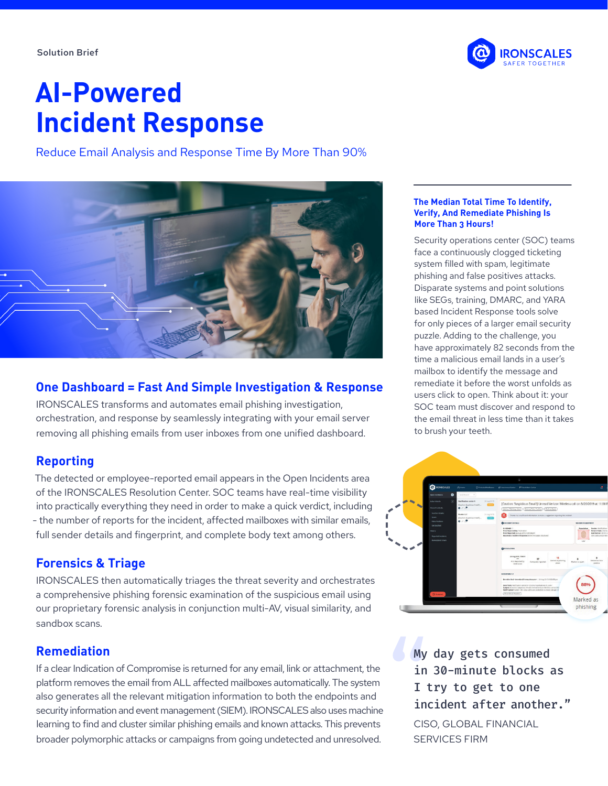

# **AI-Powered Incident Response**

Reduce Email Analysis and Response Time By More Than 90%



## **One Dashboard = Fast And Simple Investigation & Response**

IRONSCALES transforms and automates email phishing investigation, orchestration, and response by seamlessly integrating with your email server removing all phishing emails from user inboxes from one unified dashboard.

### **Reporting**

The detected or employee-reported email appears in the Open Incidents area of the IRONSCALES Resolution Center. SOC teams have real-time visibility into practically everything they need in order to make a quick verdict, including - the number of reports for the incident, affected mailboxes with similar emails, full sender details and fingerprint, and complete body text among others.

# **Forensics & Triage**

IRONSCALES then automatically triages the threat severity and orchestrates a comprehensive phishing forensic examination of the suspicious email using our proprietary forensic analysis in conjunction multi-AV, visual similarity, and sandbox scans.

# **Remediation**

If a clear Indication of Compromise is returned for any email, link or attachment, the platform removes the email from ALL affected mailboxes automatically. The system also generates all the relevant mitigation information to both the endpoints and security information and event management (SIEM). IRONSCALES also uses machine learning to find and cluster similar phishing emails and known attacks. This prevents broader polymorphic attacks or campaigns from going undetected and unresolved.

#### **The Median Total Time To Identify, Verify, And Remediate Phishing Is More Than 3 Hours!**

Security operations center (SOC) teams face a continuously clogged ticketing system filled with spam, legitimate phishing and false positives attacks. Disparate systems and point solutions like SEGs, training, DMARC, and YARA based Incident Response tools solve for only pieces of a larger email security puzzle. Adding to the challenge, you have approximately 82 seconds from the time a malicious email lands in a user's mailbox to identify the message and remediate it before the worst unfolds as users click to open. Think about it: your SOC team must discover and respond to the email threat in less time than it takes to brush your teeth.



My day gets consumed in 30-minute blocks as I try to get to one incident after another."

CISO, GLOBAL FINANCIAL SERVICES FIRM